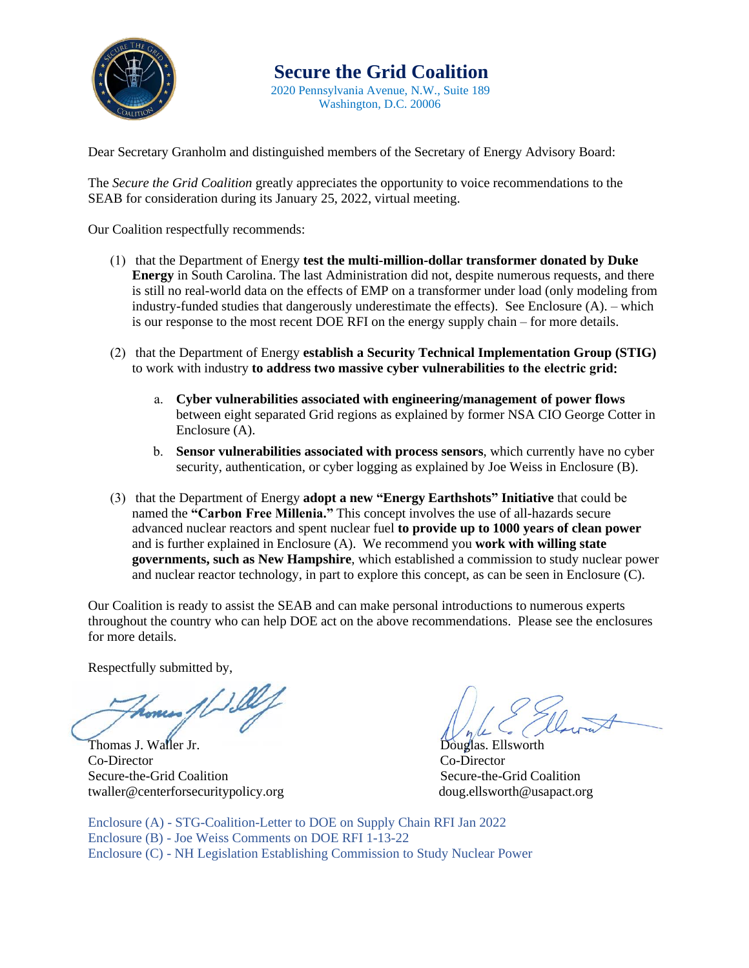

**Secure the Grid Coalition** 2020 Pennsylvania Avenue, N.W., Suite 189 Washington, D.C. 20006

Dear Secretary Granholm and distinguished members of the Secretary of Energy Advisory Board:

The *Secure the Grid Coalition* greatly appreciates the opportunity to voice recommendations to the SEAB for consideration during its January 25, 2022, virtual meeting.

Our Coalition respectfully recommends:

- (1) that the Department of Energy **test the multi-million-dollar transformer donated by Duke Energy** in South Carolina. The last Administration did not, despite numerous requests, and there is still no real-world data on the effects of EMP on a transformer under load (only modeling from industry-funded studies that dangerously underestimate the effects). See Enclosure (A). – which is our response to the most recent DOE RFI on the energy supply chain – for more details.
- (2) that the Department of Energy **establish a Security Technical Implementation Group (STIG)** to work with industry **to address two massive cyber vulnerabilities to the electric grid**:
	- a. **Cyber vulnerabilities associated with engineering/management of power flows** between eight separated Grid regions as explained by former NSA CIO George Cotter in Enclosure (A).
	- b. **Sensor vulnerabilities associated with process sensors**, which currently have no cyber security, authentication, or cyber logging as explained by Joe Weiss in Enclosure (B).
- (3) that the Department of Energy **adopt a new "Energy Earthshots" Initiative** that could be named the **"Carbon Free Millenia."** This concept involves the use of all-hazards secure advanced nuclear reactors and spent nuclear fuel **to provide up to 1000 years of clean power** and is further explained in Enclosure (A). We recommend you **work with willing state governments, such as New Hampshire**, which established a commission to study nuclear power and nuclear reactor technology, in part to explore this concept, as can be seen in Enclosure (C).

Our Coalition is ready to assist the SEAB and can make personal introductions to numerous experts throughout the country who can help DOE act on the above recommendations. Please see the enclosures for more details.

Respectfully submitted by,

homes / J Il

Thomas J. Waller Jr. Douglas. Ellsworth Co-Director Co-Director Secure-the-Grid Coalition Secure-the-Grid Coalition [twaller@centerforsecuritypolicy.org](mailto:twaller@centerforsecuritypolicy.org) [doug.ellsworth@usapact.org](mailto:doug.ellsworth@usapact.org)

Enclosure (A) - STG-Coalition-Letter to DOE on Supply Chain RFI Jan 2022 Enclosure (B) - Joe Weiss Comments on DOE RFI 1-13-22 Enclosure (C) - NH Legislation Establishing Commission to Study Nuclear Power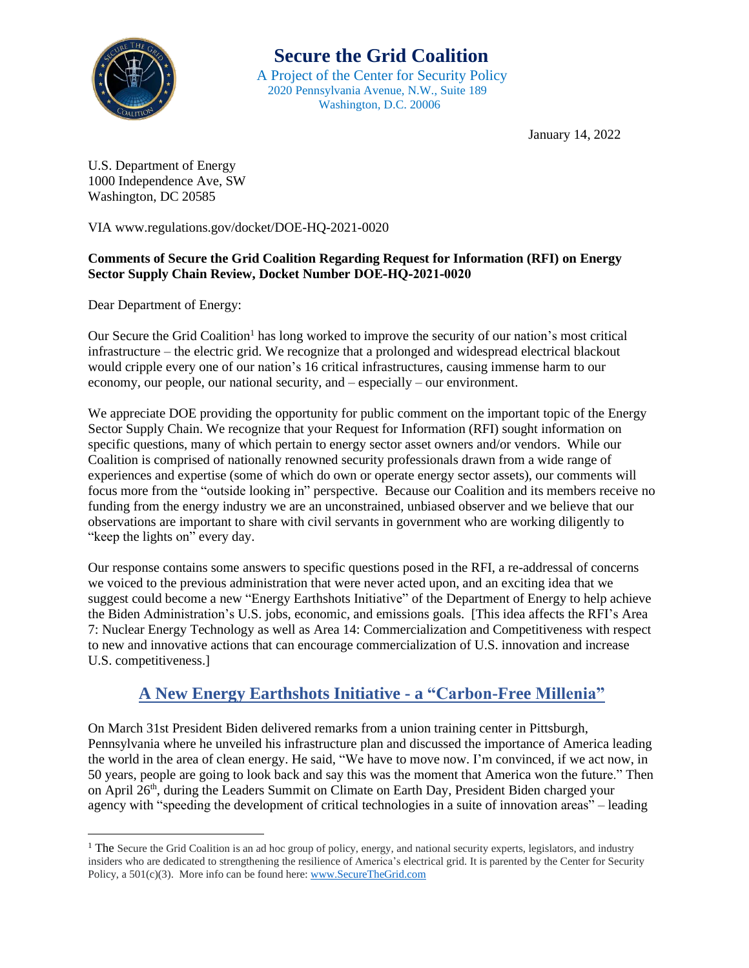

 A Project of the Center for Security Policy 2020 Pennsylvania Avenue, N.W., Suite 189 Washington, D.C. 20006

January 14, 2022

U.S. Department of Energy 1000 Independence Ave, SW Washington, DC 20585

VIA www.regulations.gov/docket/DOE-HQ-2021-0020

## **Comments of Secure the Grid Coalition Regarding Request for Information (RFI) on Energy Sector Supply Chain Review, Docket Number DOE‐HQ‐2021‐0020**

Dear Department of Energy:

Our Secure the Grid Coalition<sup>1</sup> has long worked to improve the security of our nation's most critical infrastructure – the electric grid. We recognize that a prolonged and widespread electrical blackout would cripple every one of our nation's 16 critical infrastructures, causing immense harm to our economy, our people, our national security, and – especially – our environment.

We appreciate DOE providing the opportunity for public comment on the important topic of the Energy Sector Supply Chain. We recognize that your Request for Information (RFI) sought information on specific questions, many of which pertain to energy sector asset owners and/or vendors. While our Coalition is comprised of nationally renowned security professionals drawn from a wide range of experiences and expertise (some of which do own or operate energy sector assets), our comments will focus more from the "outside looking in" perspective. Because our Coalition and its members receive no funding from the energy industry we are an unconstrained, unbiased observer and we believe that our observations are important to share with civil servants in government who are working diligently to "keep the lights on" every day.

Our response contains some answers to specific questions posed in the RFI, a re-addressal of concerns we voiced to the previous administration that were never acted upon, and an exciting idea that we suggest could become a new "Energy Earthshots Initiative" of the Department of Energy to help achieve the Biden Administration's U.S. jobs, economic, and emissions goals. [This idea affects the RFI's Area 7: Nuclear Energy Technology as well as Area 14: Commercialization and Competitiveness with respect to new and innovative actions that can encourage commercialization of U.S. innovation and increase U.S. competitiveness.]

# **A New Energy Earthshots Initiative - a "Carbon-Free Millenia"**

On March 31st President Biden delivered remarks from a union training center in Pittsburgh, Pennsylvania where he unveiled his infrastructure plan and discussed the importance of America leading the world in the area of clean energy. He said, "We have to move now. I'm convinced, if we act now, in 50 years, people are going to look back and say this was the moment that America won the future." Then on April 26<sup>th</sup>, during the Leaders Summit on Climate on Earth Day, President Biden charged your agency with "speeding the development of critical technologies in a suite of innovation areas" – leading

<sup>&</sup>lt;sup>1</sup> The Secure the Grid Coalition is an ad hoc group of policy, energy, and national security experts, legislators, and industry insiders who are dedicated to strengthening the resilience of America's electrical grid. It is parented by the Center for Security Policy, a 501(c)(3). More info can be found here: [www.SecureTheGrid.com](http://www.securethegrid.com/)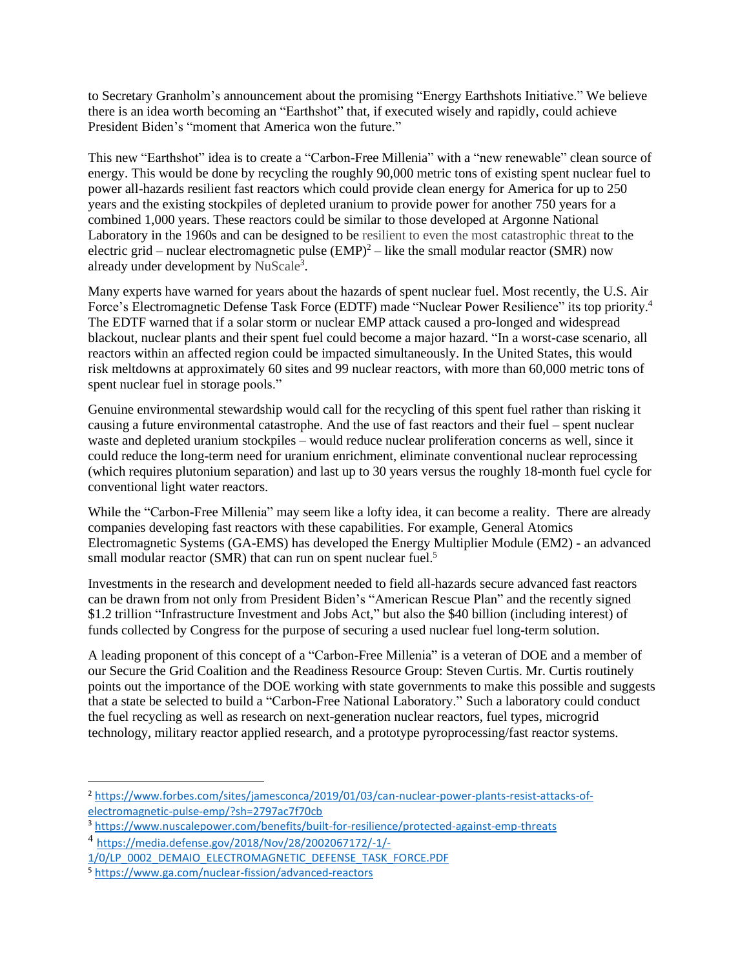to Secretary Granholm's announcement about the promising "Energy Earthshots Initiative." We believe there is an idea worth becoming an "Earthshot" that, if executed wisely and rapidly, could achieve President Biden's "moment that America won the future."

This new "Earthshot" idea is to create a "Carbon-Free Millenia" with a "new renewable" clean source of energy. This would be done by recycling the roughly 90,000 metric tons of existing spent nuclear fuel to power all-hazards resilient fast reactors which could provide clean energy for America for up to 250 years and the existing stockpiles of depleted uranium to provide power for another 750 years for a combined 1,000 years. These reactors could be similar to those developed at Argonne National Laboratory in the 1960s and can be designed to be resilient to even the most catastrophic threat to the electric grid – nuclear electromagnetic pulse  $(EMP)^2$  – like the small modular reactor (SMR) now already under development by [NuScale](https://www.nuscalepower.com/benefits/built-for-resilience/protected-against-emp-threats)<sup>3</sup>.

Many experts have warned for years about the hazards of spent nuclear fuel. Most recently, the U.S. Air Force's Electromagnetic Defense Task Force (EDTF) made "Nuclear Power Resilience" its top priority.<sup>4</sup> The EDTF warned that if a solar storm or nuclear EMP attack caused a pro-longed and widespread blackout, nuclear plants and their spent fuel could become a major hazard. "In a worst-case scenario, all reactors within an affected region could be impacted simultaneously. In the United States, this would risk meltdowns at approximately 60 sites and 99 nuclear reactors, with more than 60,000 metric tons of spent nuclear fuel in storage pools."

Genuine environmental stewardship would call for the recycling of this spent fuel rather than risking it causing a future environmental catastrophe. And the use of fast reactors and their fuel – spent nuclear waste and depleted uranium stockpiles – would reduce nuclear proliferation concerns as well, since it could reduce the long-term need for uranium enrichment, eliminate conventional nuclear reprocessing (which requires plutonium separation) and last up to 30 years versus the roughly 18-month fuel cycle for conventional light water reactors.

While the "Carbon-Free Millenia" may seem like a lofty idea, it can become a reality. There are already companies developing fast reactors with these capabilities. For example, General Atomics Electromagnetic Systems (GA-EMS) has developed the Energy Multiplier Module (EM2) - an advanced small modular reactor (SMR) that can run on spent nuclear fuel.<sup>5</sup>

Investments in the research and development needed to field all-hazards secure advanced fast reactors can be drawn from not only from President Biden's "American Rescue Plan" and the recently signed \$1.2 trillion "Infrastructure Investment and Jobs Act," but also the \$40 billion (including interest) of funds collected by Congress for the purpose of securing a used nuclear fuel long-term solution.

A leading proponent of this concept of a "Carbon-Free Millenia" is a veteran of DOE and a member of our Secure the Grid Coalition and the Readiness Resource Group: Steven Curtis. Mr. Curtis routinely points out the importance of the DOE working with state governments to make this possible and suggests that a state be selected to build a "Carbon-Free National Laboratory." Such a laboratory could conduct the fuel recycling as well as research on next-generation nuclear reactors, fuel types, microgrid technology, military reactor applied research, and a prototype pyroprocessing/fast reactor systems.

<sup>2</sup> [https://www.forbes.com/sites/jamesconca/2019/01/03/can-nuclear-power-plants-resist-attacks-of](https://www.forbes.com/sites/jamesconca/2019/01/03/can-nuclear-power-plants-resist-attacks-of-electromagnetic-pulse-emp/?sh=2797ac7f70cb)[electromagnetic-pulse-emp/?sh=2797ac7f70cb](https://www.forbes.com/sites/jamesconca/2019/01/03/can-nuclear-power-plants-resist-attacks-of-electromagnetic-pulse-emp/?sh=2797ac7f70cb)

<sup>3</sup> <https://www.nuscalepower.com/benefits/built-for-resilience/protected-against-emp-threats>

<sup>4</sup> [https://media.defense.gov/2018/Nov/28/2002067172/-1/-](https://media.defense.gov/2018/Nov/28/2002067172/-1/-1/0/LP_0002_DEMAIO_ELECTROMAGNETIC_DEFENSE_TASK_FORCE.PDF)

[<sup>1/0/</sup>LP\\_0002\\_DEMAIO\\_ELECTROMAGNETIC\\_DEFENSE\\_TASK\\_FORCE.PDF](https://media.defense.gov/2018/Nov/28/2002067172/-1/-1/0/LP_0002_DEMAIO_ELECTROMAGNETIC_DEFENSE_TASK_FORCE.PDF)

<sup>5</sup> <https://www.ga.com/nuclear-fission/advanced-reactors>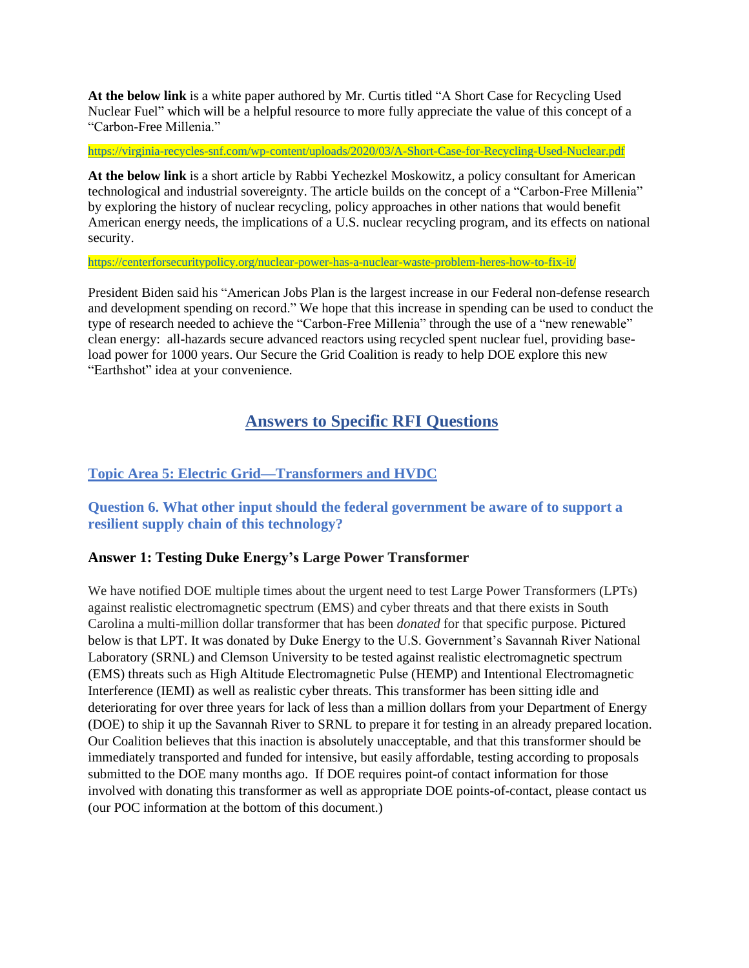**At the below link** is a white paper authored by Mr. Curtis titled "A Short Case for Recycling Used Nuclear Fuel" which will be a helpful resource to more fully appreciate the value of this concept of a "Carbon-Free Millenia."

<https://virginia-recycles-snf.com/wp-content/uploads/2020/03/A-Short-Case-for-Recycling-Used-Nuclear.pdf>

**At the below link** is a short article by Rabbi Yechezkel Moskowitz, a policy consultant for American technological and industrial sovereignty. The article builds on the concept of a "Carbon-Free Millenia" by exploring the history of nuclear recycling, policy approaches in other nations that would benefit American energy needs, the implications of a U.S. nuclear recycling program, and its effects on national security.

<https://centerforsecuritypolicy.org/nuclear-power-has-a-nuclear-waste-problem-heres-how-to-fix-it/>

President Biden said his "American Jobs Plan is the largest increase in our Federal non-defense research and development spending on record." We hope that this increase in spending can be used to conduct the type of research needed to achieve the "Carbon-Free Millenia" through the use of a "new renewable" clean energy: all-hazards secure advanced reactors using recycled spent nuclear fuel, providing baseload power for 1000 years. Our Secure the Grid Coalition is ready to help DOE explore this new "Earthshot" idea at your convenience.

# **Answers to Specific RFI Questions**

# **Topic Area 5: Electric Grid—Transformers and HVDC**

# **Question 6. What other input should the federal government be aware of to support a resilient supply chain of this technology?**

# **Answer 1: Testing Duke Energy's Large Power Transformer**

We have notified DOE multiple times about the urgent need to test Large Power Transformers (LPTs) against realistic electromagnetic spectrum (EMS) and cyber threats and that there exists in South Carolina a multi-million dollar transformer that has been *donated* for that specific purpose. Pictured below is that LPT. It was donated by Duke Energy to the U.S. Government's Savannah River National Laboratory (SRNL) and Clemson University to be tested against realistic electromagnetic spectrum (EMS) threats such as High Altitude Electromagnetic Pulse (HEMP) and Intentional Electromagnetic Interference (IEMI) as well as realistic cyber threats. This transformer has been sitting idle and deteriorating for over three years for lack of less than a million dollars from your Department of Energy (DOE) to ship it up the Savannah River to SRNL to prepare it for testing in an already prepared location. Our Coalition believes that this inaction is absolutely unacceptable, and that this transformer should be immediately transported and funded for intensive, but easily affordable, testing according to proposals submitted to the DOE many months ago. If DOE requires point-of contact information for those involved with donating this transformer as well as appropriate DOE points-of-contact, please contact us (our POC information at the bottom of this document.)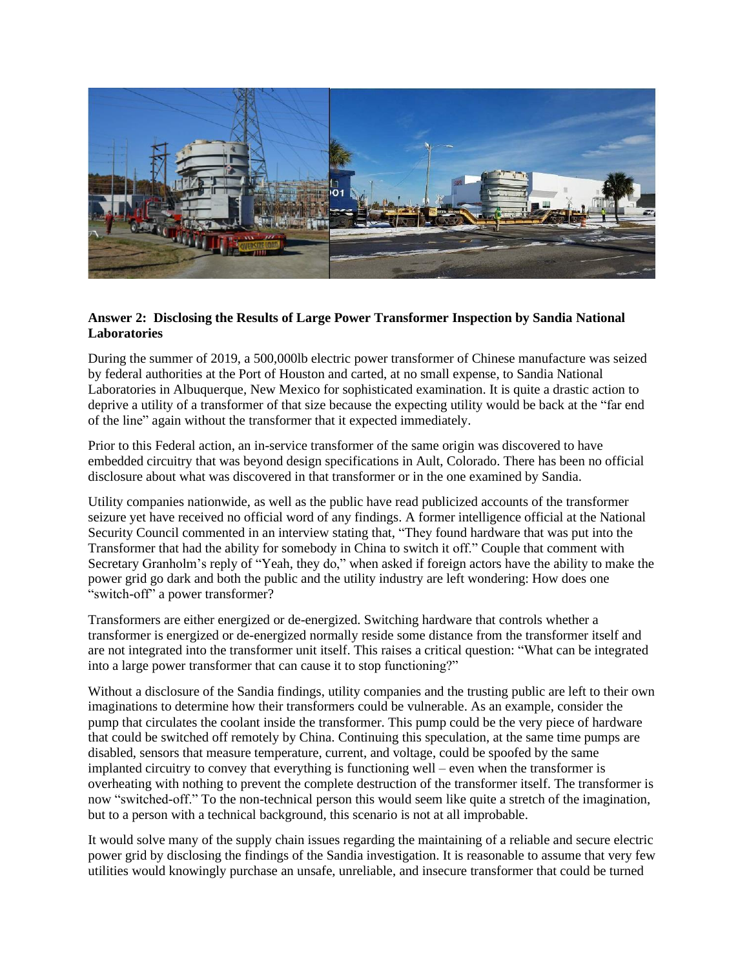

### **Answer 2: Disclosing the Results of Large Power Transformer Inspection by Sandia National Laboratories**

During the summer of 2019, a 500,000lb electric power transformer of Chinese manufacture was seized by federal authorities at the Port of Houston and carted, at no small expense, to Sandia National Laboratories in Albuquerque, New Mexico for sophisticated examination. It is quite a drastic action to deprive a utility of a transformer of that size because the expecting utility would be back at the "far end of the line" again without the transformer that it expected immediately.

Prior to this Federal action, an in-service transformer of the same origin was discovered to have embedded circuitry that was beyond design specifications in Ault, Colorado. There has been no official disclosure about what was discovered in that transformer or in the one examined by Sandia.

Utility companies nationwide, as well as the public have read publicized accounts of the transformer seizure yet have received no official word of any findings. A former intelligence official at the National Security Council commented in an interview stating that, "They found hardware that was put into the Transformer that had the ability for somebody in China to switch it off." Couple that comment with Secretary Granholm's reply of "Yeah, they do," when asked if foreign actors have the ability to make the power grid go dark and both the public and the utility industry are left wondering: How does one "switch-off" a power transformer?

Transformers are either energized or de-energized. Switching hardware that controls whether a transformer is energized or de-energized normally reside some distance from the transformer itself and are not integrated into the transformer unit itself. This raises a critical question: "What can be integrated into a large power transformer that can cause it to stop functioning?"

Without a disclosure of the Sandia findings, utility companies and the trusting public are left to their own imaginations to determine how their transformers could be vulnerable. As an example, consider the pump that circulates the coolant inside the transformer. This pump could be the very piece of hardware that could be switched off remotely by China. Continuing this speculation, at the same time pumps are disabled, sensors that measure temperature, current, and voltage, could be spoofed by the same implanted circuitry to convey that everything is functioning well – even when the transformer is overheating with nothing to prevent the complete destruction of the transformer itself. The transformer is now "switched-off." To the non-technical person this would seem like quite a stretch of the imagination, but to a person with a technical background, this scenario is not at all improbable.

It would solve many of the supply chain issues regarding the maintaining of a reliable and secure electric power grid by disclosing the findings of the Sandia investigation. It is reasonable to assume that very few utilities would knowingly purchase an unsafe, unreliable, and insecure transformer that could be turned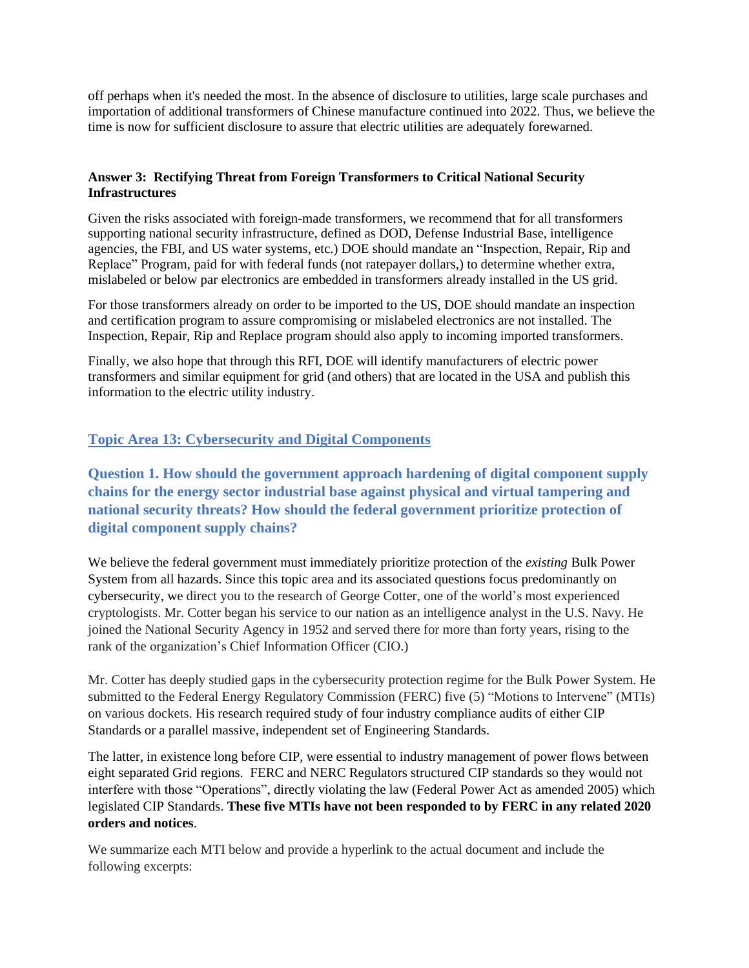off perhaps when it's needed the most. In the absence of disclosure to utilities, large scale purchases and importation of additional transformers of Chinese manufacture continued into 2022. Thus, we believe the time is now for sufficient disclosure to assure that electric utilities are adequately forewarned.

### **Answer 3: Rectifying Threat from Foreign Transformers to Critical National Security Infrastructures**

Given the risks associated with foreign-made transformers, we recommend that for all transformers supporting national security infrastructure, defined as DOD, Defense Industrial Base, intelligence agencies, the FBI, and US water systems, etc.) DOE should mandate an "Inspection, Repair, Rip and Replace" Program, paid for with federal funds (not ratepayer dollars,) to determine whether extra, mislabeled or below par electronics are embedded in transformers already installed in the US grid.

For those transformers already on order to be imported to the US, DOE should mandate an inspection and certification program to assure compromising or mislabeled electronics are not installed. The Inspection, Repair, Rip and Replace program should also apply to incoming imported transformers.

Finally, we also hope that through this RFI, DOE will identify manufacturers of electric power transformers and similar equipment for grid (and others) that are located in the USA and publish this information to the electric utility industry.

# **Topic Area 13: Cybersecurity and Digital Components**

**Question 1. How should the government approach hardening of digital component supply chains for the energy sector industrial base against physical and virtual tampering and national security threats? How should the federal government prioritize protection of digital component supply chains?**

We believe the federal government must immediately prioritize protection of the *existing* Bulk Power System from all hazards. Since this topic area and its associated questions focus predominantly on cybersecurity, we direct you to the research of George Cotter, one of the world's most experienced cryptologists. Mr. Cotter began his service to our nation as an intelligence analyst in the U.S. Navy. He joined the National Security Agency in 1952 and served there for more than forty years, rising to the rank of the organization's Chief Information Officer (CIO.)

Mr. Cotter has deeply studied gaps in the cybersecurity protection regime for the Bulk Power System. He submitted to the Federal Energy Regulatory Commission (FERC) five (5) "Motions to Intervene" (MTIs) on various dockets. His research required study of four industry compliance audits of either CIP Standards or a parallel massive, independent set of Engineering Standards.

The latter, in existence long before CIP, were essential to industry management of power flows between eight separated Grid regions. FERC and NERC Regulators structured CIP standards so they would not interfere with those "Operations", directly violating the law (Federal Power Act as amended 2005) which legislated CIP Standards. **These five MTIs have not been responded to by FERC in any related 2020 orders and notices**.

We summarize each MTI below and provide a hyperlink to the actual document and include the following excerpts: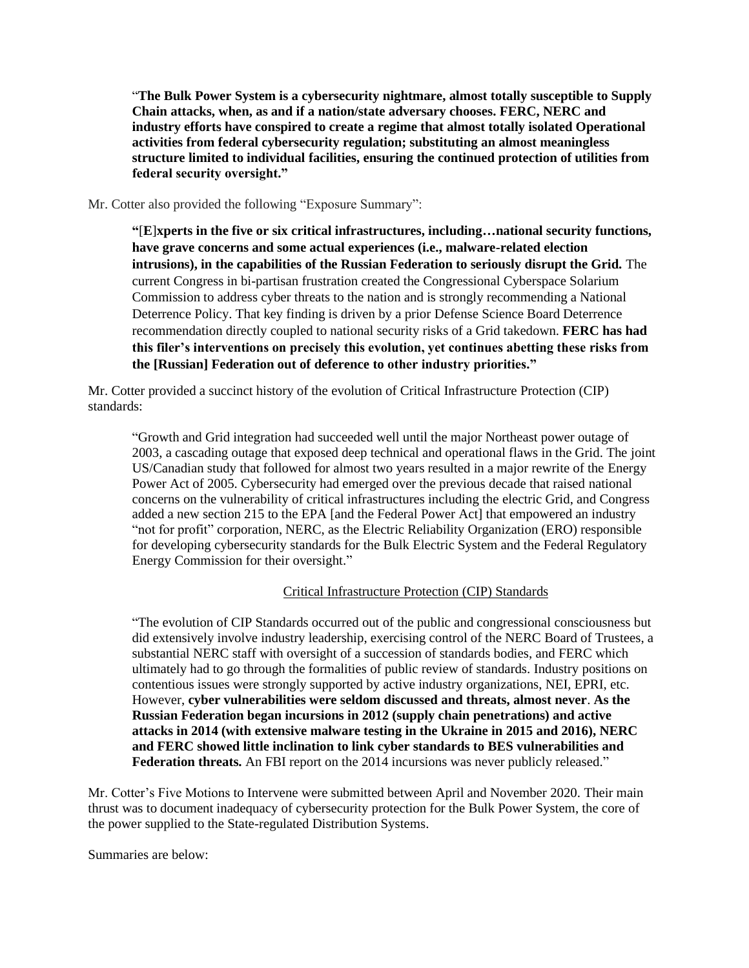"**The Bulk Power System is a cybersecurity nightmare, almost totally susceptible to Supply Chain attacks, when, as and if a nation/state adversary chooses. FERC, NERC and industry efforts have conspired to create a regime that almost totally isolated Operational activities from federal cybersecurity regulation; substituting an almost meaningless structure limited to individual facilities, ensuring the continued protection of utilities from federal security oversight."**

Mr. Cotter also provided the following "Exposure Summary":

**"**[**E**]**xperts in the five or six critical infrastructures, including…national security functions, have grave concerns and some actual experiences (i.e., malware-related election intrusions), in the capabilities of the Russian Federation to seriously disrupt the Grid.** The current Congress in bi-partisan frustration created the Congressional Cyberspace Solarium Commission to address cyber threats to the nation and is strongly recommending a National Deterrence Policy. That key finding is driven by a prior Defense Science Board Deterrence recommendation directly coupled to national security risks of a Grid takedown. **FERC has had this filer's interventions on precisely this evolution, yet continues abetting these risks from the [Russian] Federation out of deference to other industry priorities."**

Mr. Cotter provided a succinct history of the evolution of Critical Infrastructure Protection (CIP) standards:

"Growth and Grid integration had succeeded well until the major Northeast power outage of 2003, a cascading outage that exposed deep technical and operational flaws in the Grid. The joint US/Canadian study that followed for almost two years resulted in a major rewrite of the Energy Power Act of 2005. Cybersecurity had emerged over the previous decade that raised national concerns on the vulnerability of critical infrastructures including the electric Grid, and Congress added a new section 215 to the EPA [and the Federal Power Act] that empowered an industry "not for profit" corporation, NERC, as the Electric Reliability Organization (ERO) responsible for developing cybersecurity standards for the Bulk Electric System and the Federal Regulatory Energy Commission for their oversight."

# Critical Infrastructure Protection (CIP) Standards

"The evolution of CIP Standards occurred out of the public and congressional consciousness but did extensively involve industry leadership, exercising control of the NERC Board of Trustees, a substantial NERC staff with oversight of a succession of standards bodies, and FERC which ultimately had to go through the formalities of public review of standards. Industry positions on contentious issues were strongly supported by active industry organizations, NEI, EPRI, etc. However, **cyber vulnerabilities were seldom discussed and threats, almost never**. **As the Russian Federation began incursions in 2012 (supply chain penetrations) and active attacks in 2014 (with extensive malware testing in the Ukraine in 2015 and 2016), NERC and FERC showed little inclination to link cyber standards to BES vulnerabilities and Federation threats.** An FBI report on the 2014 incursions was never publicly released."

Mr. Cotter's Five Motions to Intervene were submitted between April and November 2020. Their main thrust was to document inadequacy of cybersecurity protection for the Bulk Power System, the core of the power supplied to the State-regulated Distribution Systems.

Summaries are below: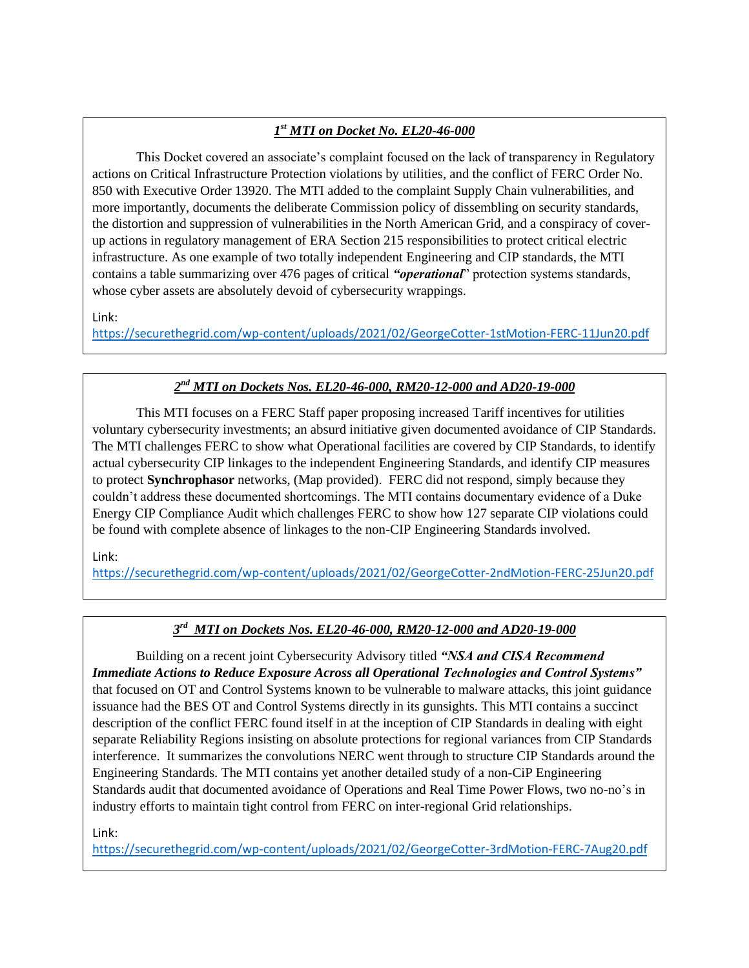# *1 st MTI on Docket No. EL20-46-000*

This Docket covered an associate's complaint focused on the lack of transparency in Regulatory actions on Critical Infrastructure Protection violations by utilities, and the conflict of FERC Order No. 850 with Executive Order 13920. The MTI added to the complaint Supply Chain vulnerabilities, and more importantly, documents the deliberate Commission policy of dissembling on security standards, the distortion and suppression of vulnerabilities in the North American Grid, and a conspiracy of coverup actions in regulatory management of ERA Section 215 responsibilities to protect critical electric infrastructure. As one example of two totally independent Engineering and CIP standards, the MTI contains a table summarizing over 476 pages of critical *"operational*" protection systems standards, whose cyber assets are absolutely devoid of cybersecurity wrappings.

Link:

<https://securethegrid.com/wp-content/uploads/2021/02/GeorgeCotter-1stMotion-FERC-11Jun20.pdf>

# *2 nd MTI on Dockets Nos. EL20-46-000, RM20-12-000 and AD20-19-000*

This MTI focuses on a FERC Staff paper proposing increased Tariff incentives for utilities voluntary cybersecurity investments; an absurd initiative given documented avoidance of CIP Standards. The MTI challenges FERC to show what Operational facilities are covered by CIP Standards, to identify actual cybersecurity CIP linkages to the independent Engineering Standards, and identify CIP measures to protect **Synchrophasor** networks, (Map provided). FERC did not respond, simply because they couldn't address these documented shortcomings. The MTI contains documentary evidence of a Duke Energy CIP Compliance Audit which challenges FERC to show how 127 separate CIP violations could be found with complete absence of linkages to the non-CIP Engineering Standards involved.

Link:

<https://securethegrid.com/wp-content/uploads/2021/02/GeorgeCotter-2ndMotion-FERC-25Jun20.pdf>

# *3 rd MTI on Dockets Nos. EL20-46-000, RM20-12-000 and AD20-19-000*

Building on a recent joint Cybersecurity Advisory titled *"NSA and CISA Recommend Immediate Actions to Reduce Exposure Across all Operational Technologies and Control Systems"* that focused on OT and Control Systems known to be vulnerable to malware attacks, this joint guidance issuance had the BES OT and Control Systems directly in its gunsights. This MTI contains a succinct description of the conflict FERC found itself in at the inception of CIP Standards in dealing with eight separate Reliability Regions insisting on absolute protections for regional variances from CIP Standards interference. It summarizes the convolutions NERC went through to structure CIP Standards around the Engineering Standards. The MTI contains yet another detailed study of a non-CiP Engineering Standards audit that documented avoidance of Operations and Real Time Power Flows, two no-no's in industry efforts to maintain tight control from FERC on inter-regional Grid relationships.

Link:

<https://securethegrid.com/wp-content/uploads/2021/02/GeorgeCotter-3rdMotion-FERC-7Aug20.pdf>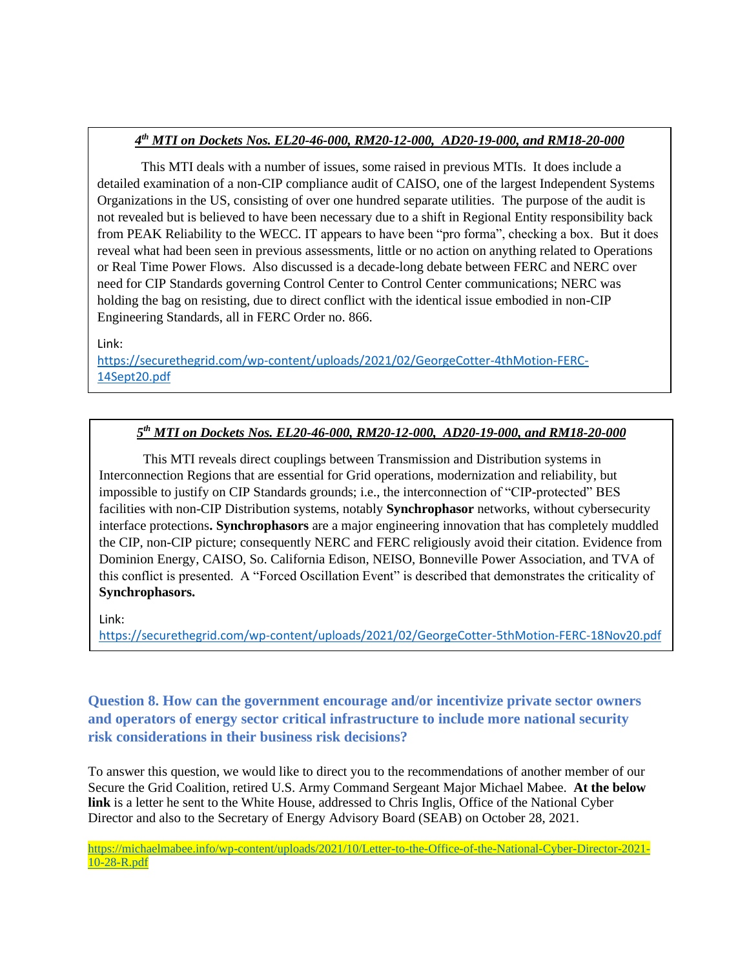# *4 th MTI on Dockets Nos. EL20-46-000, RM20-12-000, AD20-19-000, and RM18-20-000*

This MTI deals with a number of issues, some raised in previous MTIs. It does include a detailed examination of a non-CIP compliance audit of CAISO, one of the largest Independent Systems Organizations in the US, consisting of over one hundred separate utilities. The purpose of the audit is not revealed but is believed to have been necessary due to a shift in Regional Entity responsibility back from PEAK Reliability to the WECC. IT appears to have been "pro forma", checking a box. But it does reveal what had been seen in previous assessments, little or no action on anything related to Operations or Real Time Power Flows. Also discussed is a decade-long debate between FERC and NERC over need for CIP Standards governing Control Center to Control Center communications; NERC was holding the bag on resisting, due to direct conflict with the identical issue embodied in non-CIP Engineering Standards, all in FERC Order no. 866.

### Link:

ssss

[https://securethegrid.com/wp-content/uploads/2021/02/GeorgeCotter-4thMotion-FERC-](https://securethegrid.com/wp-content/uploads/2021/02/GeorgeCotter-4thMotion-FERC-14Sept20.pdf)[14Sept20.pdf](https://securethegrid.com/wp-content/uploads/2021/02/GeorgeCotter-4thMotion-FERC-14Sept20.pdf)

# *5 th MTI on Dockets Nos. EL20-46-000, RM20-12-000, AD20-19-000, and RM18-20-000*

This MTI reveals direct couplings between Transmission and Distribution systems in Interconnection Regions that are essential for Grid operations, modernization and reliability, but impossible to justify on CIP Standards grounds; i.e., the interconnection of "CIP-protected" BES facilities with non-CIP Distribution systems, notably **Synchrophasor** networks, without cybersecurity interface protections**. Synchrophasors** are a major engineering innovation that has completely muddled the CIP, non-CIP picture; consequently NERC and FERC religiously avoid their citation. Evidence from Dominion Energy, CAISO, So. California Edison, NEISO, Bonneville Power Association, and TVA of this conflict is presented. A "Forced Oscillation Event" is described that demonstrates the criticality of **Synchrophasors.**

# Link:

<https://securethegrid.com/wp-content/uploads/2021/02/GeorgeCotter-5thMotion-FERC-18Nov20.pdf>

**Question 8. How can the government encourage and/or incentivize private sector owners and operators of energy sector critical infrastructure to include more national security risk considerations in their business risk decisions?**

To answer this question, we would like to direct you to the recommendations of another member of our Secure the Grid Coalition, retired U.S. Army Command Sergeant Major Michael Mabee. **At the below link** is a letter he sent to the White House, addressed to Chris Inglis, Office of the National Cyber Director and also to the Secretary of Energy Advisory Board (SEAB) on October 28, 2021.

[https://michaelmabee.info/wp-content/uploads/2021/10/Letter-to-the-Office-of-the-National-Cyber-Director-2021-](https://michaelmabee.info/wp-content/uploads/2021/10/Letter-to-the-Office-of-the-National-Cyber-Director-2021-10-28-R.pdf) [10-28-R.pdf](https://michaelmabee.info/wp-content/uploads/2021/10/Letter-to-the-Office-of-the-National-Cyber-Director-2021-10-28-R.pdf)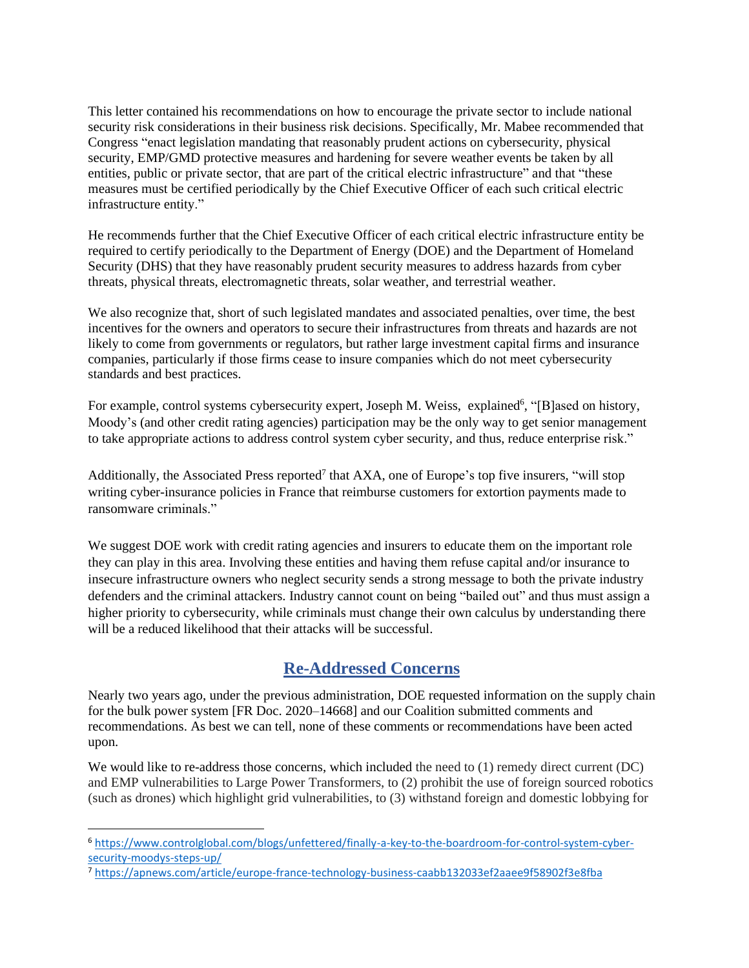This letter contained his recommendations on how to encourage the private sector to include national security risk considerations in their business risk decisions. Specifically, Mr. Mabee recommended that Congress "enact legislation mandating that reasonably prudent actions on cybersecurity, physical security, EMP/GMD protective measures and hardening for severe weather events be taken by all entities, public or private sector, that are part of the critical electric infrastructure" and that "these measures must be certified periodically by the Chief Executive Officer of each such critical electric infrastructure entity."

He recommends further that the Chief Executive Officer of each critical electric infrastructure entity be required to certify periodically to the Department of Energy (DOE) and the Department of Homeland Security (DHS) that they have reasonably prudent security measures to address hazards from cyber threats, physical threats, electromagnetic threats, solar weather, and terrestrial weather.

We also recognize that, short of such legislated mandates and associated penalties, over time, the best incentives for the owners and operators to secure their infrastructures from threats and hazards are not likely to come from governments or regulators, but rather large investment capital firms and insurance companies, particularly if those firms cease to insure companies which do not meet cybersecurity standards and best practices.

For example, control systems cybersecurity expert, [Joseph](https://www.controlglobal.com/blogs/unfettered/finally-a-key-to-the-boardroom-for-control-system-cyber-security-moodys-steps-up/) M. Weiss, explained<sup>6</sup>, "[B]ased on history, Moody's (and other credit rating agencies) participation may be the only way to get senior management to take appropriate actions to address control system cyber security, and thus, reduce enterprise risk."

Additionally, the Associated Press [reported](https://apnews.com/article/europe-france-technology-business-caabb132033ef2aaee9f58902f3e8fba)<sup>7</sup> that AXA, one of Europe's top five insurers, "will stop writing cyber-insurance policies in France that reimburse customers for extortion payments made to ransomware criminals."

We suggest DOE work with credit rating agencies and insurers to educate them on the important role they can play in this area. Involving these entities and having them refuse capital and/or insurance to insecure infrastructure owners who neglect security sends a strong message to both the private industry defenders and the criminal attackers. Industry cannot count on being "bailed out" and thus must assign a higher priority to cybersecurity, while criminals must change their own calculus by understanding there will be a reduced likelihood that their attacks will be successful.

# **Re-Addressed Concerns**

Nearly two years ago, under the previous administration, DOE requested information on the supply chain for the bulk power system [FR Doc. 2020–14668] and our Coalition submitted comments and recommendations. As best we can tell, none of these comments or recommendations have been acted upon.

We would like to re-address those concerns, which included the need to  $(1)$  remedy direct current (DC) and EMP vulnerabilities to Large Power Transformers, to (2) prohibit the use of foreign sourced robotics (such as drones) which highlight grid vulnerabilities, to (3) withstand foreign and domestic lobbying for

<sup>6</sup> [https://www.controlglobal.com/blogs/unfettered/finally-a-key-to-the-boardroom-for-control-system-cyber](https://www.controlglobal.com/blogs/unfettered/finally-a-key-to-the-boardroom-for-control-system-cyber-security-moodys-steps-up/)[security-moodys-steps-up/](https://www.controlglobal.com/blogs/unfettered/finally-a-key-to-the-boardroom-for-control-system-cyber-security-moodys-steps-up/)

<sup>7</sup> <https://apnews.com/article/europe-france-technology-business-caabb132033ef2aaee9f58902f3e8fba>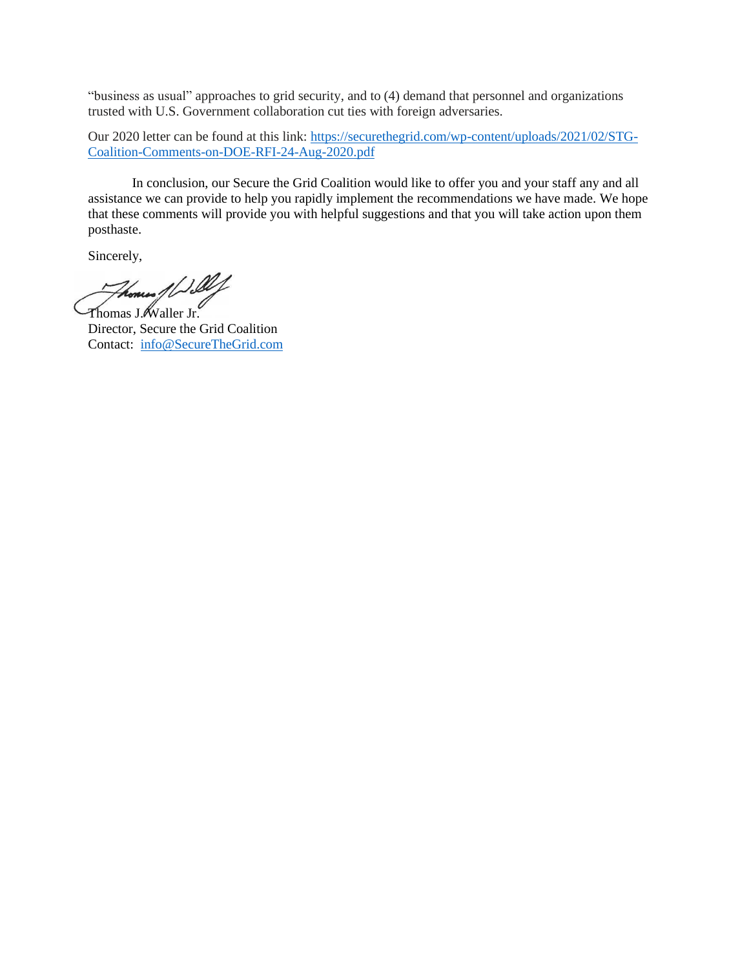"business as usual" approaches to grid security, and to (4) demand that personnel and organizations trusted with U.S. Government collaboration cut ties with foreign adversaries.

Our 2020 letter can be found at this link: [https://securethegrid.com/wp-content/uploads/2021/02/STG-](https://securethegrid.com/wp-content/uploads/2021/02/STG-Coalition-Comments-on-DOE-RFI-24-Aug-2020.pdf)[Coalition-Comments-on-DOE-RFI-24-Aug-2020.pdf](https://securethegrid.com/wp-content/uploads/2021/02/STG-Coalition-Comments-on-DOE-RFI-24-Aug-2020.pdf)

In conclusion, our Secure the Grid Coalition would like to offer you and your staff any and all assistance we can provide to help you rapidly implement the recommendations we have made. We hope that these comments will provide you with helpful suggestions and that you will take action upon them posthaste.

Sincerely,

Thomas / 1 Blf Thomas J. Waller Jr.

Director, Secure the Grid Coalition Contact: [info@SecureTheGrid.com](mailto:info@SecureTheGrid.com)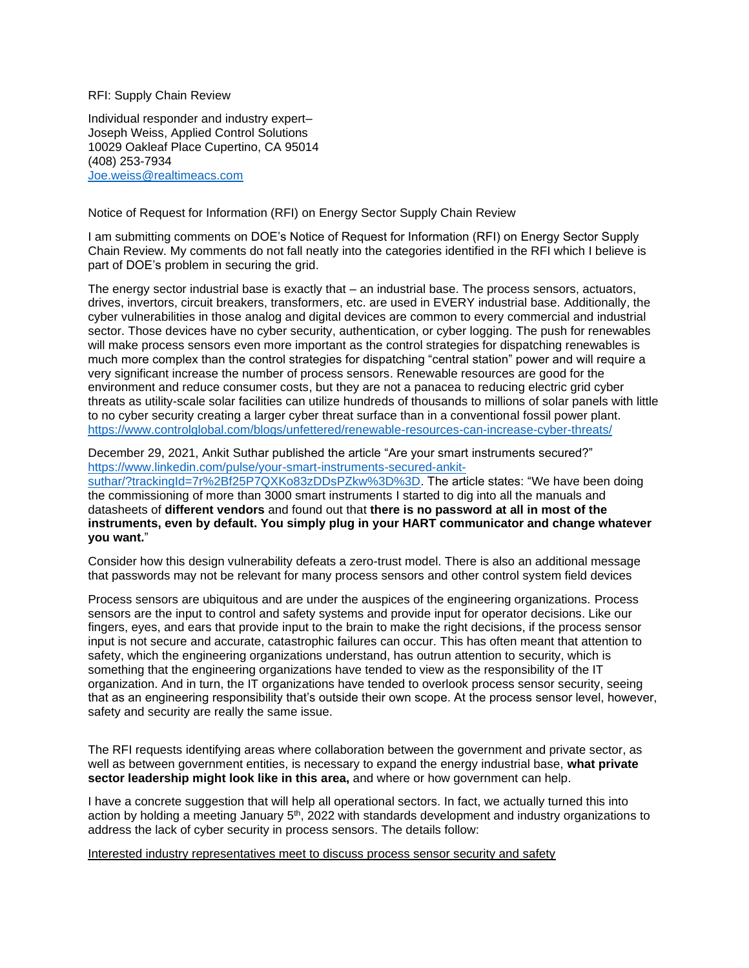#### RFI: Supply Chain Review

Individual responder and industry expert– Joseph Weiss, Applied Control Solutions 10029 Oakleaf Place Cupertino, CA 95014 (408) 253-7934 [Joe.weiss@realtimeacs.com](mailto:Joe.weiss@realtimeacs.com)

### Notice of Request for Information (RFI) on Energy Sector Supply Chain Review

I am submitting comments on DOE's Notice of Request for Information (RFI) on Energy Sector Supply Chain Review. My comments do not fall neatly into the categories identified in the RFI which I believe is part of DOE's problem in securing the grid.

The energy sector industrial base is exactly that – an industrial base. The process sensors, actuators, drives, invertors, circuit breakers, transformers, etc. are used in EVERY industrial base. Additionally, the cyber vulnerabilities in those analog and digital devices are common to every commercial and industrial sector. Those devices have no cyber security, authentication, or cyber logging. The push for renewables will make process sensors even more important as the control strategies for dispatching renewables is much more complex than the control strategies for dispatching "central station" power and will require a very significant increase the number of process sensors. Renewable resources are good for the environment and reduce consumer costs, but they are not a panacea to reducing electric grid cyber threats as utility-scale solar facilities can utilize hundreds of thousands to millions of solar panels with little to no cyber security creating a larger cyber threat surface than in a conventional fossil power plant. <https://www.controlglobal.com/blogs/unfettered/renewable-resources-can-increase-cyber-threats/>

December 29, 2021, Ankit Suthar published the article "Are your smart instruments secured?" [https://www.linkedin.com/pulse/your-smart-instruments-secured-ankit](https://www.linkedin.com/pulse/your-smart-instruments-secured-ankit-suthar/?trackingId=7r%2Bf25P7QXKo83zDDsPZkw%3D%3D)[suthar/?trackingId=7r%2Bf25P7QXKo83zDDsPZkw%3D%3D.](https://www.linkedin.com/pulse/your-smart-instruments-secured-ankit-suthar/?trackingId=7r%2Bf25P7QXKo83zDDsPZkw%3D%3D) The article states: "We have been doing the commissioning of more than 3000 smart instruments I started to dig into all the manuals and datasheets of **different vendors** and found out that **there is no password at all in most of the instruments, even by default. You simply plug in your HART communicator and change whatever you want.**"

Consider how this design vulnerability defeats a zero-trust model. There is also an additional message that passwords may not be relevant for many process sensors and other control system field devices

Process sensors are ubiquitous and are under the auspices of the engineering organizations. Process sensors are the input to control and safety systems and provide input for operator decisions. Like our fingers, eyes, and ears that provide input to the brain to make the right decisions, if the process sensor input is not secure and accurate, catastrophic failures can occur. This has often meant that attention to safety, which the engineering organizations understand, has outrun attention to security, which is something that the engineering organizations have tended to view as the responsibility of the IT organization. And in turn, the IT organizations have tended to overlook process sensor security, seeing that as an engineering responsibility that's outside their own scope. At the process sensor level, however, safety and security are really the same issue.

The RFI requests identifying areas where collaboration between the government and private sector, as well as between government entities, is necessary to expand the energy industrial base, **what private sector leadership might look like in this area,** and where or how government can help.

I have a concrete suggestion that will help all operational sectors. In fact, we actually turned this into action by holding a meeting January  $5<sup>th</sup>$ , 2022 with standards development and industry organizations to address the lack of cyber security in process sensors. The details follow:

Interested industry representatives meet to discuss process sensor security and safety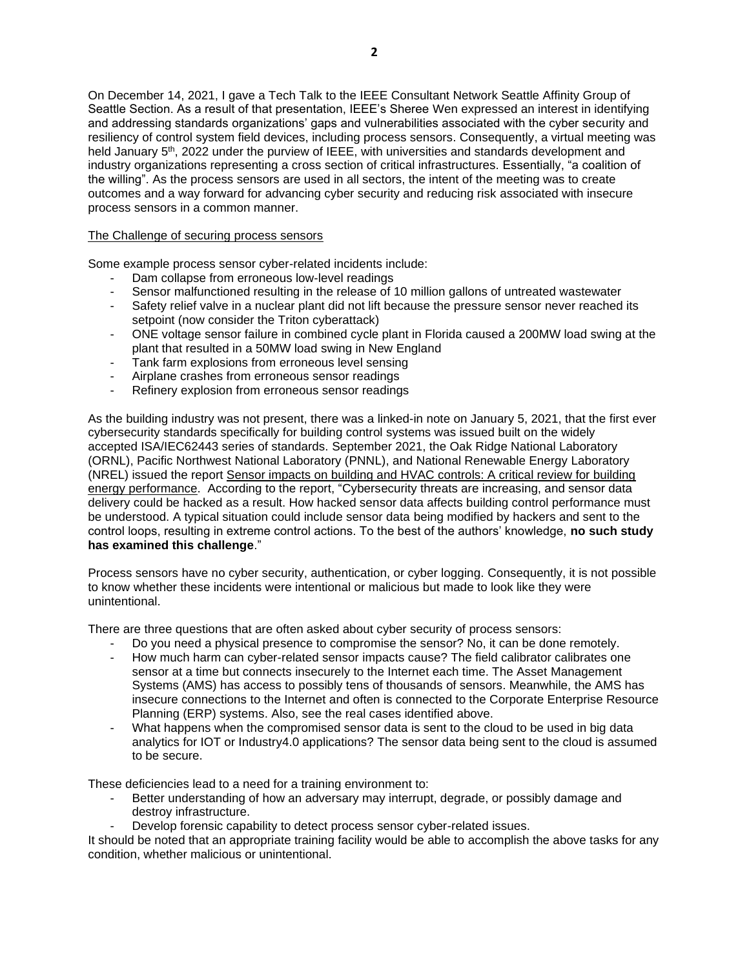On December 14, 2021, I gave a Tech Talk to the IEEE Consultant Network Seattle Affinity Group of Seattle Section. As a result of that presentation, IEEE's Sheree Wen expressed an interest in identifying and addressing standards organizations' gaps and vulnerabilities associated with the cyber security and resiliency of control system field devices, including process sensors. Consequently, a virtual meeting was held January  $5<sup>th</sup>$ , 2022 under the purview of IEEE, with universities and standards development and industry organizations representing a cross section of critical infrastructures. Essentially, "a coalition of the willing". As the process sensors are used in all sectors, the intent of the meeting was to create outcomes and a way forward for advancing cyber security and reducing risk associated with insecure process sensors in a common manner.

### The Challenge of securing process sensors

Some example process sensor cyber-related incidents include:

- Dam collapse from erroneous low-level readings
- Sensor malfunctioned resulting in the release of 10 million gallons of untreated wastewater
- Safety relief valve in a nuclear plant did not lift because the pressure sensor never reached its setpoint (now consider the Triton cyberattack)
- ONE voltage sensor failure in combined cycle plant in Florida caused a 200MW load swing at the plant that resulted in a 50MW load swing in New England
- Tank farm explosions from erroneous level sensing
- Airplane crashes from erroneous sensor readings
- Refinery explosion from erroneous sensor readings

As the building industry was not present, there was a linked-in note on January 5, 2021, that the first ever cybersecurity standards specifically for building control systems was issued built on the widely accepted ISA/IEC62443 series of standards. September 2021, the Oak Ridge National Laboratory (ORNL), Pacific Northwest National Laboratory (PNNL), and National Renewable Energy Laboratory (NREL) issued the report Sensor impacts on building and HVAC controls: A critical review for building energy performance. According to the report, "Cybersecurity threats are increasing, and sensor data delivery could be hacked as a result. How hacked sensor data affects building control performance must be understood. A typical situation could include sensor data being modified by hackers and sent to the control loops, resulting in extreme control actions. To the best of the authors' knowledge, **no such study has examined this challenge**."

Process sensors have no cyber security, authentication, or cyber logging. Consequently, it is not possible to know whether these incidents were intentional or malicious but made to look like they were unintentional.

There are three questions that are often asked about cyber security of process sensors:

- Do you need a physical presence to compromise the sensor? No, it can be done remotely.
- How much harm can cyber-related sensor impacts cause? The field calibrator calibrates one sensor at a time but connects insecurely to the Internet each time. The Asset Management Systems (AMS) has access to possibly tens of thousands of sensors. Meanwhile, the AMS has insecure connections to the Internet and often is connected to the Corporate Enterprise Resource Planning (ERP) systems. Also, see the real cases identified above.
- What happens when the compromised sensor data is sent to the cloud to be used in big data analytics for IOT or Industry4.0 applications? The sensor data being sent to the cloud is assumed to be secure.

These deficiencies lead to a need for a training environment to:

- Better understanding of how an adversary may interrupt, degrade, or possibly damage and destroy infrastructure.
- Develop forensic capability to detect process sensor cyber-related issues.

It should be noted that an appropriate training facility would be able to accomplish the above tasks for any condition, whether malicious or unintentional.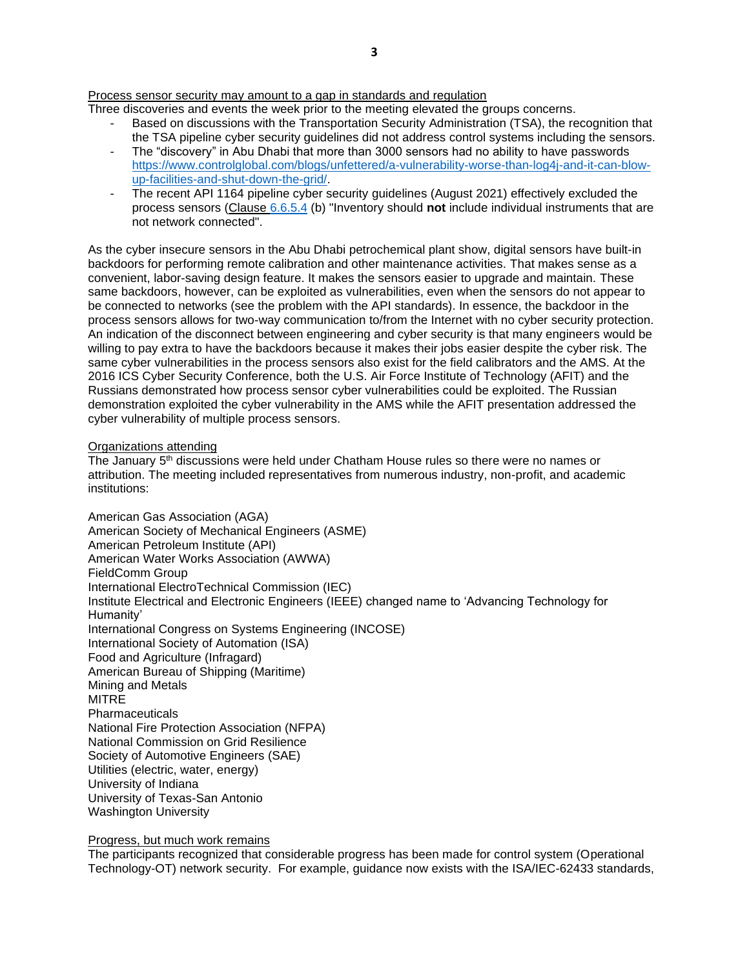### Process sensor security may amount to a gap in standards and regulation

Three discoveries and events the week prior to the meeting elevated the groups concerns.

- Based on discussions with the Transportation Security Administration (TSA), the recognition that the TSA pipeline cyber security guidelines did not address control systems including the sensors.
- The "discovery" in Abu Dhabi that more than 3000 sensors had no ability to have passwords [https://www.controlglobal.com/blogs/unfettered/a-vulnerability-worse-than-log4j-and-it-can-blow](https://www.controlglobal.com/blogs/unfettered/a-vulnerability-worse-than-log4j-and-it-can-blow-up-facilities-and-shut-down-the-grid/)[up-facilities-and-shut-down-the-grid/.](https://www.controlglobal.com/blogs/unfettered/a-vulnerability-worse-than-log4j-and-it-can-blow-up-facilities-and-shut-down-the-grid/)
- The recent API 1164 pipeline cyber security guidelines (August 2021) effectively excluded the process sensors (Clause [6.6.5.4](http://6.6.5.4/) (b) "Inventory should **not** include individual instruments that are not network connected".

As the cyber insecure sensors in the Abu Dhabi petrochemical plant show, digital sensors have built-in backdoors for performing remote calibration and other maintenance activities. That makes sense as a convenient, labor-saving design feature. It makes the sensors easier to upgrade and maintain. These same backdoors, however, can be exploited as vulnerabilities, even when the sensors do not appear to be connected to networks (see the problem with the API standards). In essence, the backdoor in the process sensors allows for two-way communication to/from the Internet with no cyber security protection. An indication of the disconnect between engineering and cyber security is that many engineers would be willing to pay extra to have the backdoors because it makes their jobs easier despite the cyber risk. The same cyber vulnerabilities in the process sensors also exist for the field calibrators and the AMS. At the 2016 ICS Cyber Security Conference, both the U.S. Air Force Institute of Technology (AFIT) and the Russians demonstrated how process sensor cyber vulnerabilities could be exploited. The Russian demonstration exploited the cyber vulnerability in the AMS while the AFIT presentation addressed the cyber vulnerability of multiple process sensors.

### Organizations attending

The January 5<sup>th</sup> discussions were held under Chatham House rules so there were no names or attribution. The meeting included representatives from numerous industry, non-profit, and academic institutions:

American Gas Association (AGA) American Society of Mechanical Engineers (ASME) American Petroleum Institute (API) American Water Works Association (AWWA) FieldComm Group International ElectroTechnical Commission (IEC) Institute Electrical and Electronic Engineers (IEEE) changed name to 'Advancing Technology for Humanity' International Congress on Systems Engineering (INCOSE) International Society of Automation (ISA) Food and Agriculture (Infragard) American Bureau of Shipping (Maritime) Mining and Metals MITRE **Pharmaceuticals** National Fire Protection Association (NFPA) National Commission on Grid Resilience Society of Automotive Engineers (SAE) Utilities (electric, water, energy) University of Indiana University of Texas-San Antonio Washington University

### Progress, but much work remains

The participants recognized that considerable progress has been made for control system (Operational Technology-OT) network security. For example, guidance now exists with the ISA/IEC-62433 standards,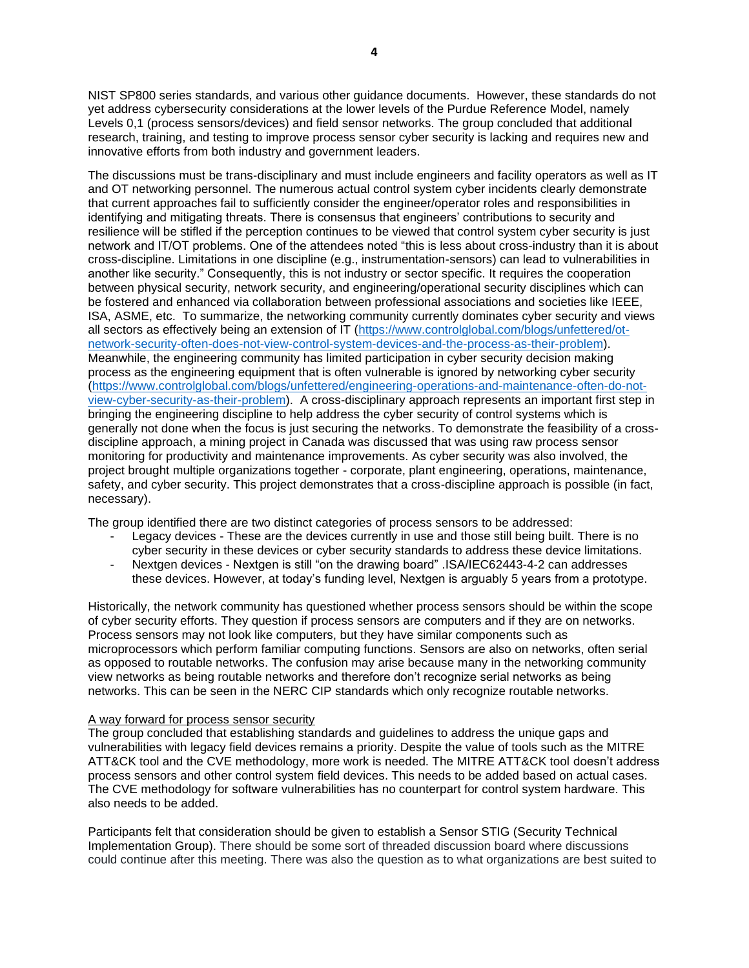NIST SP800 series standards, and various other guidance documents. However, these standards do not yet address cybersecurity considerations at the lower levels of the Purdue Reference Model, namely Levels 0,1 (process sensors/devices) and field sensor networks. The group concluded that additional research, training, and testing to improve process sensor cyber security is lacking and requires new and innovative efforts from both industry and government leaders.

The discussions must be trans-disciplinary and must include engineers and facility operators as well as IT and OT networking personnel. The numerous actual control system cyber incidents clearly demonstrate that current approaches fail to sufficiently consider the engineer/operator roles and responsibilities in identifying and mitigating threats. There is consensus that engineers' contributions to security and resilience will be stifled if the perception continues to be viewed that control system cyber security is just network and IT/OT problems. One of the attendees noted "this is less about cross-industry than it is about cross-discipline. Limitations in one discipline (e.g., instrumentation-sensors) can lead to vulnerabilities in another like security." Consequently, this is not industry or sector specific. It requires the cooperation between physical security, network security, and engineering/operational security disciplines which can be fostered and enhanced via collaboration between professional associations and societies like IEEE, ISA, ASME, etc. To summarize, the networking community currently dominates cyber security and views all sectors as effectively being an extension of IT ([https://www.controlglobal.com/blogs/unfettered/ot](https://www.controlglobal.com/blogs/unfettered/ot-network-security-often-does-not-view-control-system-devices-and-the-process-as-their-problem)[network-security-often-does-not-view-control-system-devices-and-the-process-as-their-problem](https://www.controlglobal.com/blogs/unfettered/ot-network-security-often-does-not-view-control-system-devices-and-the-process-as-their-problem)). Meanwhile, the engineering community has limited participation in cyber security decision making process as the engineering equipment that is often vulnerable is ignored by networking cyber security ([https://www.controlglobal.com/blogs/unfettered/engineering-operations-and-maintenance-often-do-not](https://www.controlglobal.com/blogs/unfettered/engineering-operations-and-maintenance-often-do-not-view-cyber-security-as-their-problem)[view-cyber-security-as-their-problem](https://www.controlglobal.com/blogs/unfettered/engineering-operations-and-maintenance-often-do-not-view-cyber-security-as-their-problem)). A cross-disciplinary approach represents an important first step in bringing the engineering discipline to help address the cyber security of control systems which is generally not done when the focus is just securing the networks. To demonstrate the feasibility of a crossdiscipline approach, a mining project in Canada was discussed that was using raw process sensor monitoring for productivity and maintenance improvements. As cyber security was also involved, the project brought multiple organizations together - corporate, plant engineering, operations, maintenance, safety, and cyber security. This project demonstrates that a cross-discipline approach is possible (in fact, necessary).

The group identified there are two distinct categories of process sensors to be addressed:

- Legacy devices These are the devices currently in use and those still being built. There is no cyber security in these devices or cyber security standards to address these device limitations.
- Nextgen devices Nextgen is still "on the drawing board" .ISA/IEC62443-4-2 can addresses these devices. However, at today's funding level, Nextgen is arguably 5 years from a prototype.

Historically, the network community has questioned whether process sensors should be within the scope of cyber security efforts. They question if process sensors are computers and if they are on networks. Process sensors may not look like computers, but they have similar components such as microprocessors which perform familiar computing functions. Sensors are also on networks, often serial as opposed to routable networks. The confusion may arise because many in the networking community view networks as being routable networks and therefore don't recognize serial networks as being networks. This can be seen in the NERC CIP standards which only recognize routable networks.

### A way forward for process sensor security

The group concluded that establishing standards and guidelines to address the unique gaps and vulnerabilities with legacy field devices remains a priority. Despite the value of tools such as the MITRE ATT&CK tool and the CVE methodology, more work is needed. The MITRE ATT&CK tool doesn't address process sensors and other control system field devices. This needs to be added based on actual cases. The CVE methodology for software vulnerabilities has no counterpart for control system hardware. This also needs to be added.

Participants felt that consideration should be given to establish a Sensor STIG (Security Technical Implementation Group). There should be some sort of threaded discussion board where discussions could continue after this meeting. There was also the question as to what organizations are best suited to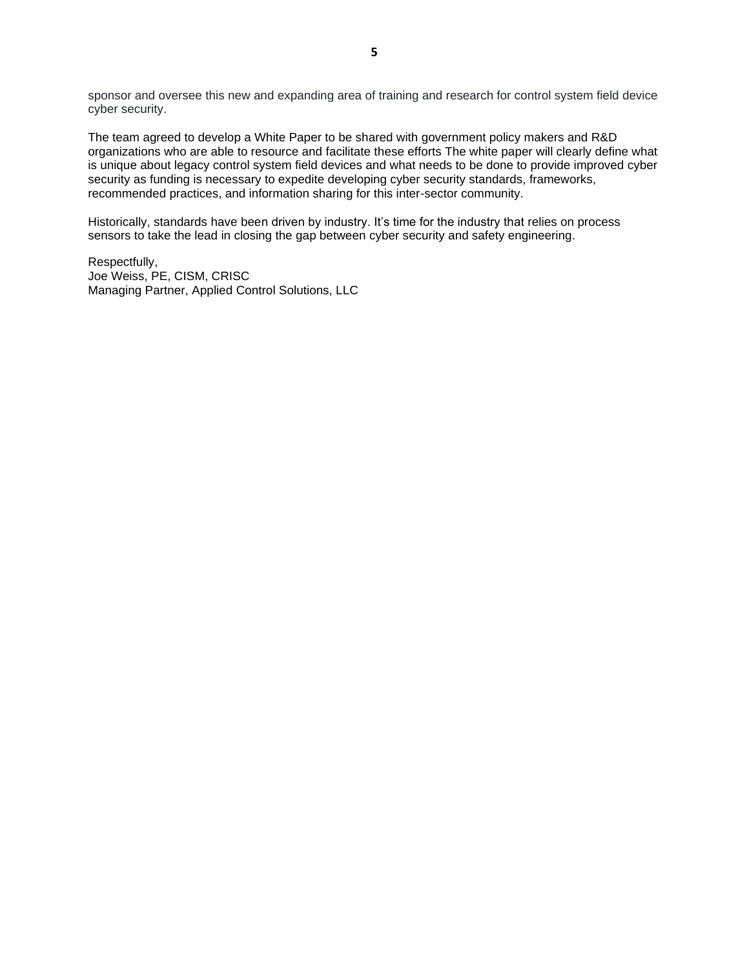sponsor and oversee this new and expanding area of training and research for control system field device cyber security.

The team agreed to develop a White Paper to be shared with government policy makers and R&D organizations who are able to resource and facilitate these efforts The white paper will clearly define what is unique about legacy control system field devices and what needs to be done to provide improved cyber security as funding is necessary to expedite developing cyber security standards, frameworks, recommended practices, and information sharing for this inter-sector community.

Historically, standards have been driven by industry. It's time for the industry that relies on process sensors to take the lead in closing the gap between cyber security and safety engineering.

Respectfully, Joe Weiss, PE, CISM, CRISC Managing Partner, Applied Control Solutions, LLC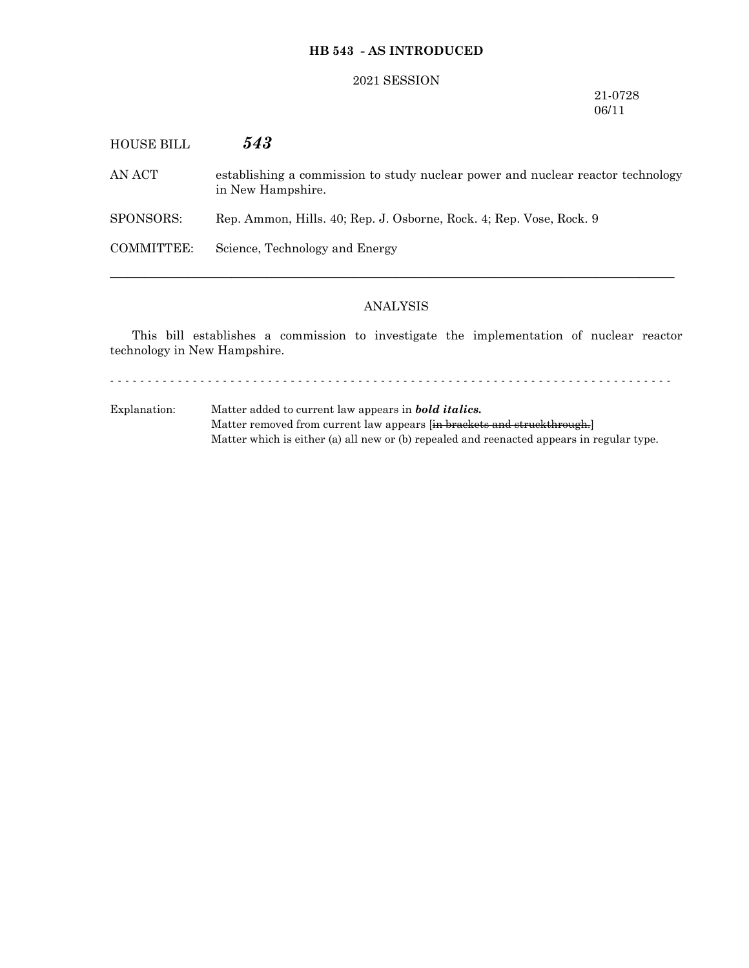### **HB 543 - AS INTRODUCED**

### 2021 SESSION

### 21-0728 06/11

| <b>HOUSE BILL</b> | 543                                                                                                  |
|-------------------|------------------------------------------------------------------------------------------------------|
| AN ACT            | establishing a commission to study nuclear power and nuclear reactor technology<br>in New Hampshire. |
| SPONSORS:         | Rep. Ammon, Hills. 40; Rep. J. Osborne, Rock. 4; Rep. Vose, Rock. 9                                  |
| COMMITTEE:        | Science, Technology and Energy                                                                       |
|                   |                                                                                                      |

### ANALYSIS

This bill establishes a commission to investigate the implementation of nuclear reactor technology in New Hampshire.

- - - - - - - - - - - - - - - - - - - - - - - - - - - - - - - - - - - - - - - - - - - - - - - - - - - - - - - - - - - - - - - - - - - - - - - - - - -

Explanation: Matter added to current law appears in *bold italics.* Matter removed from current law appears [in brackets and struckthrough.] Matter which is either (a) all new or (b) repealed and reenacted appears in regular type.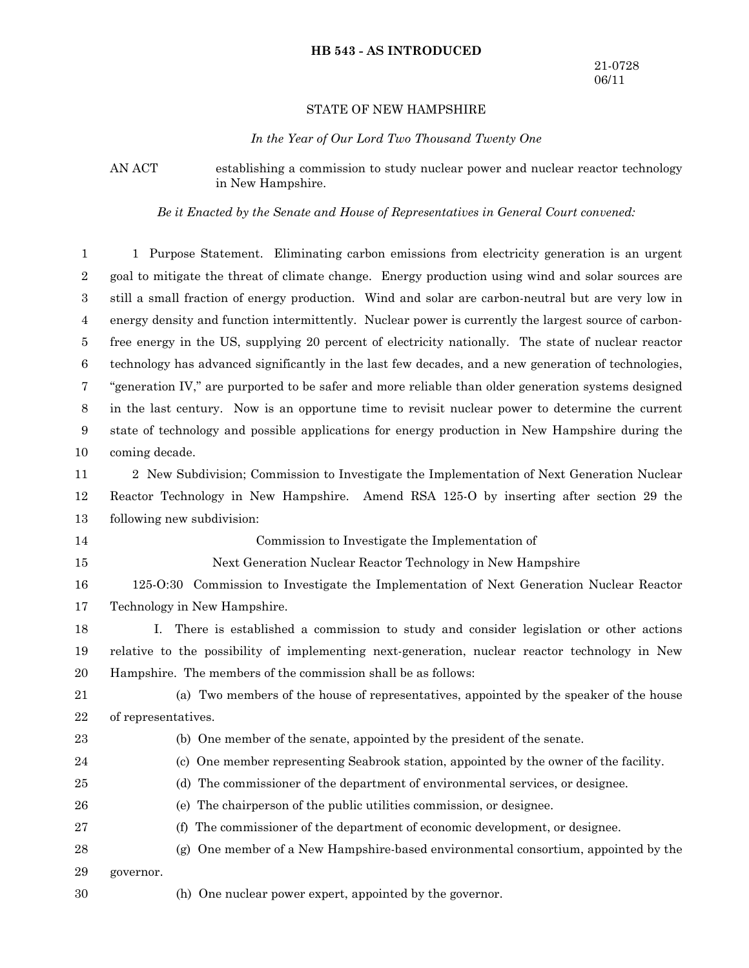#### **HB 543 - AS INTRODUCED**

#### STATE OF NEW HAMPSHIRE

#### *In the Year of Our Lord Two Thousand Twenty One*

AN ACT establishing a commission to study nuclear power and nuclear reactor technology in New Hampshire.

*Be it Enacted by the Senate and House of Representatives in General Court convened:*

1 Purpose Statement. Eliminating carbon emissions from electricity generation is an urgent goal to mitigate the threat of climate change. Energy production using wind and solar sources are still a small fraction of energy production. Wind and solar are carbon-neutral but are very low in energy density and function intermittently. Nuclear power is currently the largest source of carbonfree energy in the US, supplying 20 percent of electricity nationally. The state of nuclear reactor technology has advanced significantly in the last few decades, and a new generation of technologies, "generation IV," are purported to be safer and more reliable than older generation systems designed in the last century. Now is an opportune time to revisit nuclear power to determine the current state of technology and possible applications for energy production in New Hampshire during the coming decade. 2 New Subdivision; Commission to Investigate the Implementation of Next Generation Nuclear Reactor Technology in New Hampshire. Amend RSA 125-O by inserting after section 29 the following new subdivision: Commission to Investigate the Implementation of Next Generation Nuclear Reactor Technology in New Hampshire 125-O:30 Commission to Investigate the Implementation of Next Generation Nuclear Reactor Technology in New Hampshire. I. There is established a commission to study and consider legislation or other actions relative to the possibility of implementing next-generation, nuclear reactor technology in New Hampshire. The members of the commission shall be as follows: (a) Two members of the house of representatives, appointed by the speaker of the house of representatives. (b) One member of the senate, appointed by the president of the senate. (c) One member representing Seabrook station, appointed by the owner of the facility. (d) The commissioner of the department of environmental services, or designee. (e) The chairperson of the public utilities commission, or designee. (f) The commissioner of the department of economic development, or designee. (g) One member of a New Hampshire-based environmental consortium, appointed by the governor. 1 2 3 4 5 6 7 8 9 10 11 12 13 14 15 16 17 18 19 20 21 22 23 24 25 26 27 28 29

(h) One nuclear power expert, appointed by the governor. 30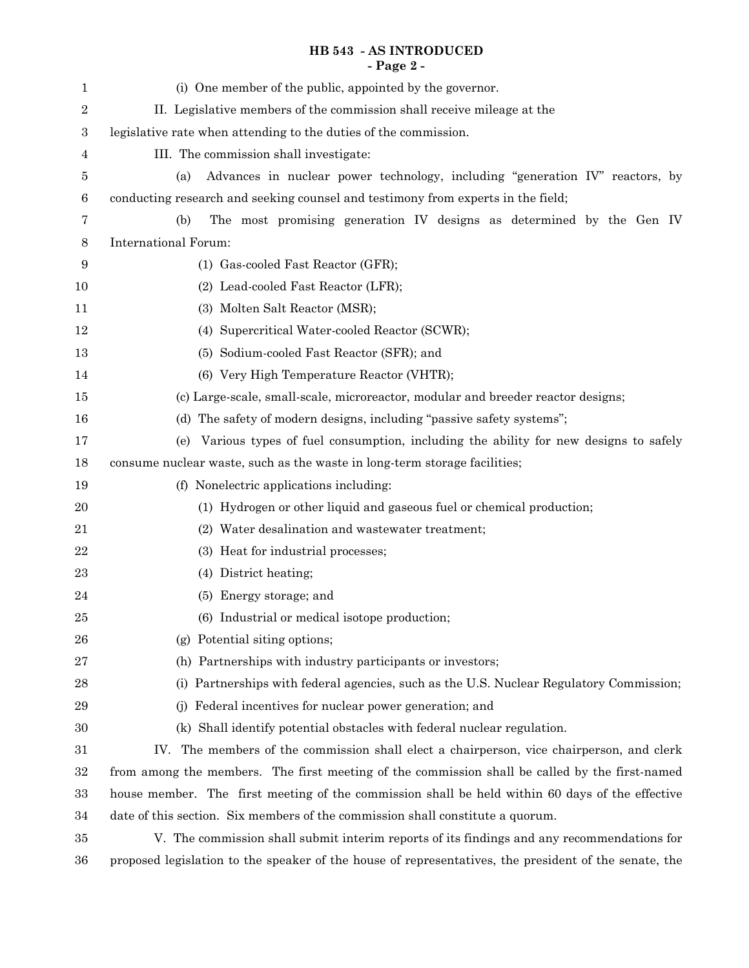### **HB 543 - AS INTRODUCED - Page 2 -**

| 1                | (i) One member of the public, appointed by the governor.                                              |
|------------------|-------------------------------------------------------------------------------------------------------|
| 2                | II. Legislative members of the commission shall receive mileage at the                                |
| 3                | legislative rate when attending to the duties of the commission.                                      |
| 4                | III. The commission shall investigate:                                                                |
| 5                | Advances in nuclear power technology, including "generation IV" reactors, by<br>(a)                   |
| $\boldsymbol{6}$ | conducting research and seeking counsel and testimony from experts in the field;                      |
| 7                | The most promising generation IV designs as determined by the Gen IV<br>(b)                           |
| 8                | International Forum:                                                                                  |
| 9                | (1) Gas-cooled Fast Reactor (GFR);                                                                    |
| 10               | (2) Lead-cooled Fast Reactor (LFR);                                                                   |
| 11               | (3) Molten Salt Reactor (MSR);                                                                        |
| 12               | (4) Supercritical Water-cooled Reactor (SCWR);                                                        |
| 13               | Sodium-cooled Fast Reactor (SFR); and<br>(5)                                                          |
| 14               | (6) Very High Temperature Reactor (VHTR);                                                             |
| 15               | (c) Large-scale, small-scale, microreactor, modular and breeder reactor designs;                      |
| 16               | (d) The safety of modern designs, including "passive safety systems";                                 |
| 17               | Various types of fuel consumption, including the ability for new designs to safely<br>(e)             |
| 18               | consume nuclear waste, such as the waste in long-term storage facilities;                             |
| 19               | (f) Nonelectric applications including:                                                               |
| 20               | (1) Hydrogen or other liquid and gaseous fuel or chemical production;                                 |
| 21               | (2) Water desalination and wastewater treatment;                                                      |
| 22               | (3) Heat for industrial processes;                                                                    |
| 23               | (4) District heating;                                                                                 |
| 24               | (5) Energy storage; and                                                                               |
| 25               | (6) Industrial or medical isotope production;                                                         |
| 26               | (g) Potential siting options;                                                                         |
| 27               | (h) Partnerships with industry participants or investors;                                             |
| 28               | Partnerships with federal agencies, such as the U.S. Nuclear Regulatory Commission;<br>(i)            |
| 29               | Federal incentives for nuclear power generation; and<br>(i)                                           |
| 30               | (k) Shall identify potential obstacles with federal nuclear regulation.                               |
| 31               | IV. The members of the commission shall elect a chairperson, vice chairperson, and clerk              |
| 32               | from among the members. The first meeting of the commission shall be called by the first-named        |
| 33               | house member. The first meeting of the commission shall be held within 60 days of the effective       |
| 34               | date of this section. Six members of the commission shall constitute a quorum.                        |
| 35               | V. The commission shall submit interim reports of its findings and any recommendations for            |
| 36               | proposed legislation to the speaker of the house of representatives, the president of the senate, the |